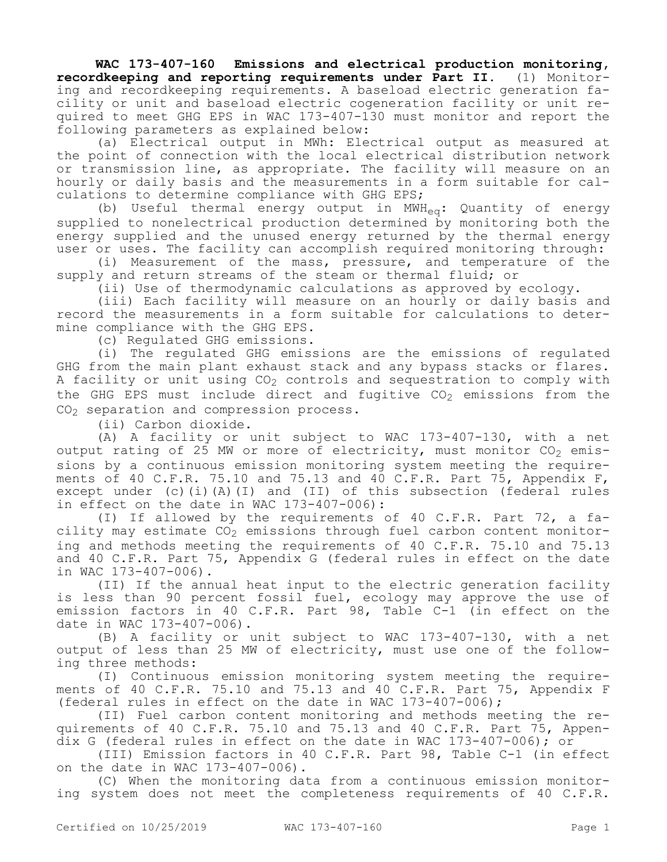**WAC 173-407-160 Emissions and electrical production monitoring, recordkeeping and reporting requirements under Part II.** (1) Monitoring and recordkeeping requirements. A baseload electric generation facility or unit and baseload electric cogeneration facility or unit required to meet GHG EPS in WAC 173-407-130 must monitor and report the following parameters as explained below:

(a) Electrical output in MWh: Electrical output as measured at the point of connection with the local electrical distribution network or transmission line, as appropriate. The facility will measure on an hourly or daily basis and the measurements in a form suitable for calculations to determine compliance with GHG EPS;

(b) Useful thermal energy output in MWH<sub>eq</sub>: Quantity of energy supplied to nonelectrical production determined by monitoring both the energy supplied and the unused energy returned by the thermal energy user or uses. The facility can accomplish required monitoring through:

(i) Measurement of the mass, pressure, and temperature of the supply and return streams of the steam or thermal fluid; or

(ii) Use of thermodynamic calculations as approved by ecology.

(iii) Each facility will measure on an hourly or daily basis and record the measurements in a form suitable for calculations to determine compliance with the GHG EPS.

(c) Regulated GHG emissions.

(i) The regulated GHG emissions are the emissions of regulated GHG from the main plant exhaust stack and any bypass stacks or flares. A facility or unit using  $CO<sub>2</sub>$  controls and sequestration to comply with the GHG EPS must include direct and fugitive  $CO<sub>2</sub>$  emissions from the  $CO<sub>2</sub>$  separation and compression process.

(ii) Carbon dioxide.

(A) A facility or unit subject to WAC 173-407-130, with a net output rating of 25 MW or more of electricity, must monitor  $CO_2$  emissions by a continuous emission monitoring system meeting the requirements of 40 C.F.R. 75.10 and 75.13 and 40 C.F.R. Part 75, Appendix F, except under (c)(i)(A)(I) and (II) of this subsection (federal rules in effect on the date in WAC 173-407-006):

(I) If allowed by the requirements of 40 C.F.R. Part 72, a facility may estimate  $CO<sub>2</sub>$  emissions through fuel carbon content monitoring and methods meeting the requirements of 40 C.F.R. 75.10 and 75.13 and 40 C.F.R. Part 75, Appendix G (federal rules in effect on the date in WAC 173-407-006).

(II) If the annual heat input to the electric generation facility is less than 90 percent fossil fuel, ecology may approve the use of emission factors in 40 C.F.R. Part 98, Table C-1 (in effect on the date in WAC 173-407-006).

(B) A facility or unit subject to WAC 173-407-130, with a net output of less than 25 MW of electricity, must use one of the following three methods:

(I) Continuous emission monitoring system meeting the requirements of 40 C.F.R. 75.10 and 75.13 and 40 C.F.R. Part 75, Appendix F (federal rules in effect on the date in WAC 173-407-006);

(II) Fuel carbon content monitoring and methods meeting the requirements of 40 C.F.R. 75.10 and 75.13 and 40 C.F.R. Part 75, Appendix G (federal rules in effect on the date in WAC 173-407-006); or

(III) Emission factors in 40 C.F.R. Part 98, Table C-1 (in effect on the date in WAC 173-407-006).

(C) When the monitoring data from a continuous emission monitoring system does not meet the completeness requirements of 40 C.F.R.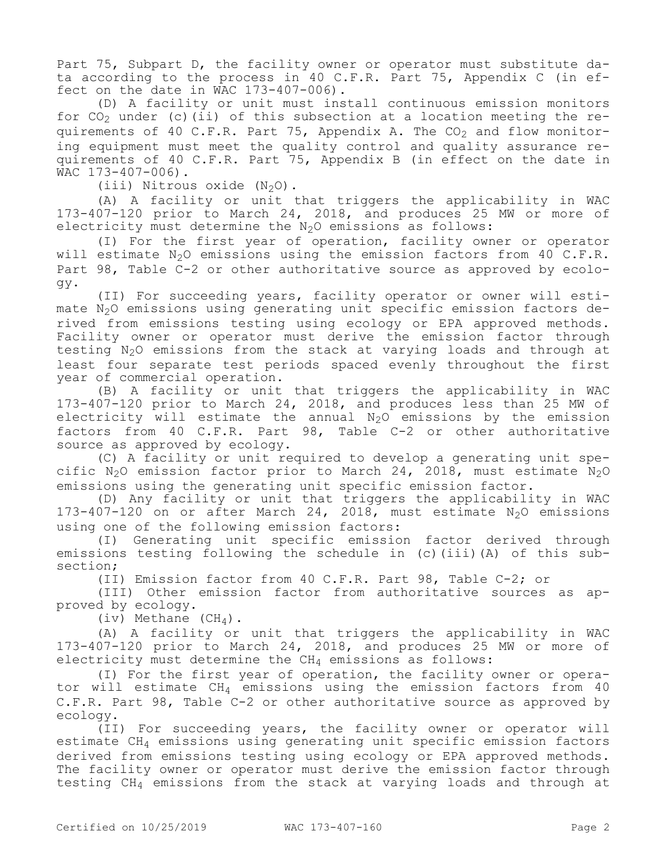Part 75, Subpart D, the facility owner or operator must substitute data according to the process in 40 C.F.R. Part 75, Appendix C (in effect on the date in WAC 173-407-006).

(D) A facility or unit must install continuous emission monitors for  $CO<sub>2</sub>$  under (c)(ii) of this subsection at a location meeting the requirements of 40 C.F.R. Part 75, Appendix A. The  $CO<sub>2</sub>$  and flow monitoring equipment must meet the quality control and quality assurance requirements of 40 C.F.R. Part 75, Appendix B (in effect on the date in WAC 173-407-006).

(iii) Nitrous oxide  $(N_2O)$ .

(A) A facility or unit that triggers the applicability in WAC 173-407-120 prior to March 24, 2018, and produces 25 MW or more of electricity must determine the  $N_2O$  emissions as follows:

(I) For the first year of operation, facility owner or operator will estimate  $N_2O$  emissions using the emission factors from 40 C.F.R. Part 98, Table C-2 or other authoritative source as approved by ecology.

(II) For succeeding years, facility operator or owner will estimate N<sub>2</sub>O emissions using generating unit specific emission factors derived from emissions testing using ecology or EPA approved methods. Facility owner or operator must derive the emission factor through testing N<sub>2</sub>O emissions from the stack at varying loads and through at least four separate test periods spaced evenly throughout the first year of commercial operation.

(B) A facility or unit that triggers the applicability in WAC 173-407-120 prior to March 24, 2018, and produces less than 25 MW of electricity will estimate the annual  $N_2O$  emissions by the emission factors from 40 C.F.R. Part 98, Table C-2 or other authoritative source as approved by ecology.

(C) A facility or unit required to develop a generating unit specific N<sub>2</sub>O emission factor prior to March 24, 2018, must estimate N<sub>2</sub>O emissions using the generating unit specific emission factor.

(D) Any facility or unit that triggers the applicability in WAC 173-407-120 on or after March 24, 2018, must estimate  $N_2O$  emissions using one of the following emission factors:

(I) Generating unit specific emission factor derived through emissions testing following the schedule in (c)(iii)(A) of this subsection;

(II) Emission factor from 40 C.F.R. Part 98, Table C-2; or

(III) Other emission factor from authoritative sources as approved by ecology.

(iv) Methane  $(CH_4)$ .

(A) A facility or unit that triggers the applicability in WAC 173-407-120 prior to March 24, 2018, and produces 25 MW or more of electricity must determine the  $CH_4$  emissions as follows:

(I) For the first year of operation, the facility owner or operator will estimate  $CH_4$  emissions using the emission factors from 40 C.F.R. Part 98, Table C-2 or other authoritative source as approved by ecology.

(II) For succeeding years, the facility owner or operator will estimate CH4 emissions using generating unit specific emission factors derived from emissions testing using ecology or EPA approved methods. The facility owner or operator must derive the emission factor through testing CH4 emissions from the stack at varying loads and through at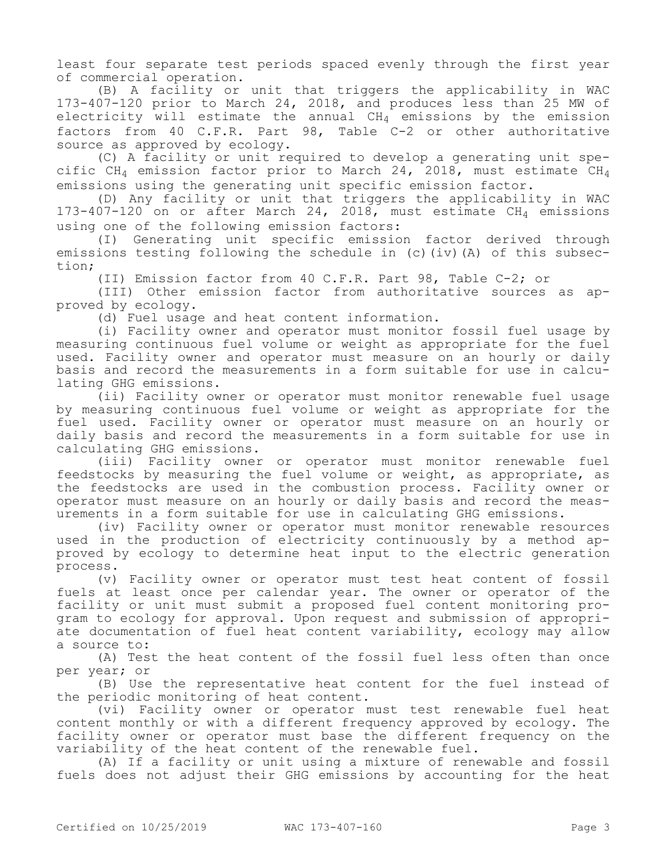least four separate test periods spaced evenly through the first year of commercial operation.

(B) A facility or unit that triggers the applicability in WAC 173-407-120 prior to March 24, 2018, and produces less than 25 MW of electricity will estimate the annual  $CH_4$  emissions by the emission factors from 40 C.F.R. Part 98, Table C-2 or other authoritative source as approved by ecology.

(C) A facility or unit required to develop a generating unit specific CH<sub>4</sub> emission factor prior to March 24, 2018, must estimate CH<sub>4</sub> emissions using the generating unit specific emission factor.

(D) Any facility or unit that triggers the applicability in WAC  $173-407-120$  on or after March 24, 2018, must estimate CH<sub>4</sub> emissions using one of the following emission factors:

(I) Generating unit specific emission factor derived through emissions testing following the schedule in (c)(iv)(A) of this subsection;

(II) Emission factor from 40 C.F.R. Part 98, Table C-2; or

(III) Other emission factor from authoritative sources as approved by ecology.

(d) Fuel usage and heat content information.

(i) Facility owner and operator must monitor fossil fuel usage by measuring continuous fuel volume or weight as appropriate for the fuel used. Facility owner and operator must measure on an hourly or daily basis and record the measurements in a form suitable for use in calculating GHG emissions.

(ii) Facility owner or operator must monitor renewable fuel usage by measuring continuous fuel volume or weight as appropriate for the fuel used. Facility owner or operator must measure on an hourly or daily basis and record the measurements in a form suitable for use in calculating GHG emissions.

(iii) Facility owner or operator must monitor renewable fuel feedstocks by measuring the fuel volume or weight, as appropriate, as the feedstocks are used in the combustion process. Facility owner or operator must measure on an hourly or daily basis and record the measurements in a form suitable for use in calculating GHG emissions.

(iv) Facility owner or operator must monitor renewable resources used in the production of electricity continuously by a method approved by ecology to determine heat input to the electric generation process.

(v) Facility owner or operator must test heat content of fossil fuels at least once per calendar year. The owner or operator of the facility or unit must submit a proposed fuel content monitoring program to ecology for approval. Upon request and submission of appropriate documentation of fuel heat content variability, ecology may allow a source to:

(A) Test the heat content of the fossil fuel less often than once per year; or

(B) Use the representative heat content for the fuel instead of the periodic monitoring of heat content.

(vi) Facility owner or operator must test renewable fuel heat content monthly or with a different frequency approved by ecology. The facility owner or operator must base the different frequency on the variability of the heat content of the renewable fuel.

(A) If a facility or unit using a mixture of renewable and fossil fuels does not adjust their GHG emissions by accounting for the heat